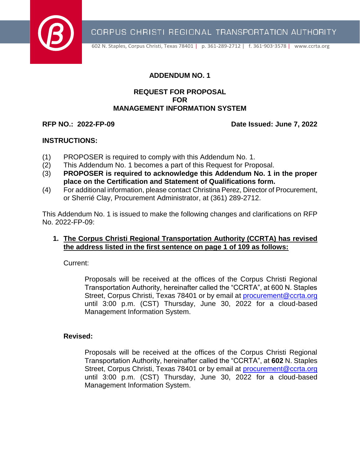

CORPUS CHRISTI REGIONAL TRANSPORTATION AUTHORITY

602 N. Staples, Corpus Christi, Texas 78401 | p. 361-289-2712 | f. 361-903-3578 | [www.ccrta.org](http://www.ccrta.org/)

### **ADDENDUM NO. 1**

#### **REQUEST FOR PROPOSAL FOR MANAGEMENT INFORMATION SYSTEM**

**RFP NO.: 2022-FP-09 Date Issued: June 7, 2022**

#### **INSTRUCTIONS:**

- (1) PROPOSER is required to comply with this Addendum No. 1.
- (2) This Addendum No. 1 becomes a part of this Request for Proposal.
- (3) **PROPOSER is required to acknowledge this Addendum No. 1 in the proper place on the Certification and Statement of Qualifications form.**
- (4) For additional information, please contact Christina Perez, Director of Procurement, or Sherrié Clay, Procurement Administrator, at (361) 289-2712.

This Addendum No. 1 is issued to make the following changes and clarifications on RFP No. 2022-FP-09:

#### **1. The Corpus Christi Regional Transportation Authority (CCRTA) has revised the address listed in the first sentence on page 1 of 109 as follows:**

Current:

Proposals will be received at the offices of the Corpus Christi Regional Transportation Authority, hereinafter called the "CCRTA", at 600 N. Staples Street, Corpus Christi, Texas 78401 or by email at [procurement@ccrta.org](mailto:procurement@ccrta.org) until 3:00 p.m. (CST) Thursday, June 30, 2022 for a cloud-based Management Information System.

#### **Revised:**

Proposals will be received at the offices of the Corpus Christi Regional Transportation Authority, hereinafter called the "CCRTA", at **602** N. Staples Street, Corpus Christi, Texas 78401 or by email at [procurement@ccrta.org](mailto:procurement@ccrta.org) until 3:00 p.m. (CST) Thursday, June 30, 2022 for a cloud-based Management Information System.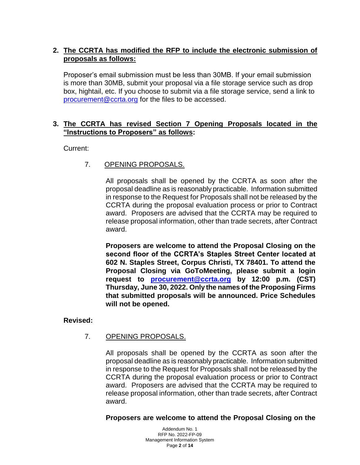# **2. The CCRTA has modified the RFP to include the electronic submission of proposals as follows:**

Proposer's email submission must be less than 30MB. If your email submission is more than 30MB, submit your proposal via a file storage service such as drop box, hightail, etc. If you choose to submit via a file storage service, send a link to [procurement@ccrta.org](mailto:procurement@ccrta.org) for the files to be accessed.

## **3. The CCRTA has revised Section 7 Opening Proposals located in the "Instructions to Proposers" as follows:**

Current:

# 7. OPENING PROPOSALS.

All proposals shall be opened by the CCRTA as soon after the proposal deadline as is reasonably practicable. Information submitted in response to the Request for Proposals shall not be released by the CCRTA during the proposal evaluation process or prior to Contract award. Proposers are advised that the CCRTA may be required to release proposal information, other than trade secrets, after Contract award.

**Proposers are welcome to attend the Proposal Closing on the second floor of the CCRTA's Staples Street Center located at 602 N. Staples Street, Corpus Christi, TX 78401. To attend the Proposal Closing via GoToMeeting, please submit a login request to [procurement@ccrta.org](mailto:procurement@ccrta.org) by 12:00 p.m. (CST) Thursday, June 30, 2022. Only the names of the Proposing Firms that submitted proposals will be announced. Price Schedules will not be opened.**

#### **Revised:**

# 7. OPENING PROPOSALS.

All proposals shall be opened by the CCRTA as soon after the proposal deadline as is reasonably practicable. Information submitted in response to the Request for Proposals shall not be released by the CCRTA during the proposal evaluation process or prior to Contract award. Proposers are advised that the CCRTA may be required to release proposal information, other than trade secrets, after Contract award.

**Proposers are welcome to attend the Proposal Closing on the** 

Addendum No. 1 RFP No. 2022-FP-09 Management Information System Page **2** of **14**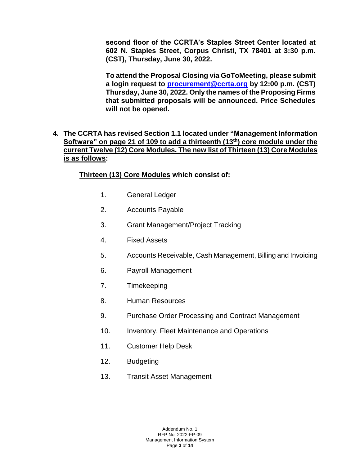**second floor of the CCRTA's Staples Street Center located at 602 N. Staples Street, Corpus Christi, TX 78401 at 3:30 p.m. (CST), Thursday, June 30, 2022.**

**To attend the Proposal Closing via GoToMeeting, please submit a login request to [procurement@ccrta.org](mailto:procurement@ccrta.org) by 12:00 p.m. (CST) Thursday, June 30, 2022. Only the names of the Proposing Firms that submitted proposals will be announced. Price Schedules will not be opened.**

# **4. The CCRTA has revised Section 1.1 located under "Management Information Software" on page 21 of 109 to add a thirteenth (13 th) core module under the current Twelve (12) Core Modules. The new list of Thirteen (13) Core Modules is as follows:**

# **Thirteen (13) Core Modules which consist of:**

- 1. General Ledger
- 2. Accounts Payable
- 3. Grant Management/Project Tracking
- 4. Fixed Assets
- 5. Accounts Receivable, Cash Management, Billing and Invoicing
- 6. Payroll Management
- 7. Timekeeping
- 8. Human Resources
- 9. Purchase Order Processing and Contract Management
- 10. Inventory, Fleet Maintenance and Operations
- 11. Customer Help Desk
- 12. Budgeting
- 13. Transit Asset Management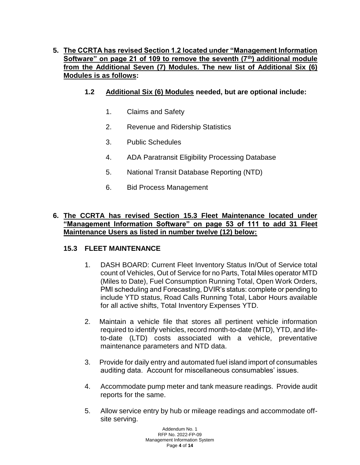# **5. The CCRTA has revised Section 1.2 located under "Management Information Software" on page 21 of 109 to remove the seventh (7th) additional module from the Additional Seven (7) Modules. The new list of Additional Six (6) Modules is as follows:**

- **1.2 Additional Six (6) Modules needed, but are optional include:**
	- 1. Claims and Safety
	- 2. Revenue and Ridership Statistics
	- 3. Public Schedules
	- 4. ADA Paratransit Eligibility Processing Database
	- 5. National Transit Database Reporting (NTD)
	- 6. Bid Process Management

## **6. The CCRTA has revised Section 15.3 Fleet Maintenance located under "Management Information Software" on page 53 of 111 to add 31 Fleet Maintenance Users as listed in number twelve (12) below:**

#### **15.3 FLEET MAINTENANCE**

- 1. DASH BOARD: Current Fleet Inventory Status In/Out of Service total count of Vehicles, Out of Service for no Parts, Total Miles operator MTD (Miles to Date), Fuel Consumption Running Total, Open Work Orders, PMI scheduling and Forecasting, DVIR's status: complete or pending to include YTD status, Road Calls Running Total, Labor Hours available for all active shifts, Total Inventory Expenses YTD.
- 2. Maintain a vehicle file that stores all pertinent vehicle information required to identify vehicles, record month-to-date (MTD), YTD, and lifeto-date (LTD) costs associated with a vehicle, preventative maintenance parameters and NTD data.
- 3. Provide for daily entry and automated fuel island import of consumables auditing data. Account for miscellaneous consumables' issues.
- 4. Accommodate pump meter and tank measure readings. Provide audit reports for the same.
- 5. Allow service entry by hub or mileage readings and accommodate offsite serving.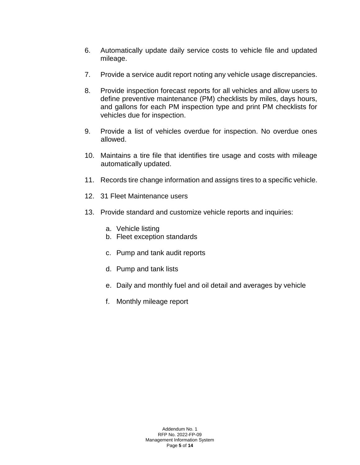- 6. Automatically update daily service costs to vehicle file and updated mileage.
- 7. Provide a service audit report noting any vehicle usage discrepancies.
- 8. Provide inspection forecast reports for all vehicles and allow users to define preventive maintenance (PM) checklists by miles, days hours, and gallons for each PM inspection type and print PM checklists for vehicles due for inspection.
- 9. Provide a list of vehicles overdue for inspection. No overdue ones allowed.
- 10. Maintains a tire file that identifies tire usage and costs with mileage automatically updated.
- 11. Records tire change information and assigns tires to a specific vehicle.
- 12. 31 Fleet Maintenance users
- 13. Provide standard and customize vehicle reports and inquiries:
	- a. Vehicle listing
	- b. Fleet exception standards
	- c. Pump and tank audit reports
	- d. Pump and tank lists
	- e. Daily and monthly fuel and oil detail and averages by vehicle
	- f. Monthly mileage report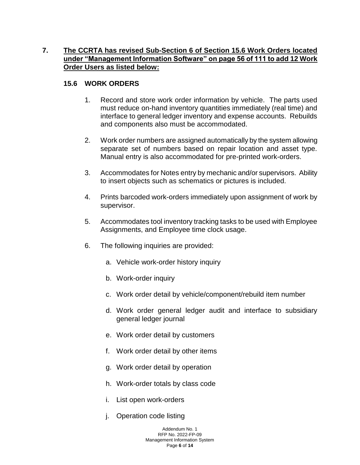# **7. The CCRTA has revised Sub-Section 6 of Section 15.6 Work Orders located under "Management Information Software" on page 56 of 111 to add 12 Work Order Users as listed below:**

# **15.6 WORK ORDERS**

- 1. Record and store work order information by vehicle. The parts used must reduce on-hand inventory quantities immediately (real time) and interface to general ledger inventory and expense accounts. Rebuilds and components also must be accommodated.
- 2. Work order numbers are assigned automatically by the system allowing separate set of numbers based on repair location and asset type. Manual entry is also accommodated for pre-printed work-orders.
- 3. Accommodates for Notes entry by mechanic and/or supervisors. Ability to insert objects such as schematics or pictures is included.
- 4. Prints barcoded work-orders immediately upon assignment of work by supervisor.
- 5. Accommodates tool inventory tracking tasks to be used with Employee Assignments, and Employee time clock usage.
- 6. The following inquiries are provided:
	- a. Vehicle work-order history inquiry
	- b. Work-order inquiry
	- c. Work order detail by vehicle/component/rebuild item number
	- d. Work order general ledger audit and interface to subsidiary general ledger journal
	- e. Work order detail by customers
	- f. Work order detail by other items
	- g. Work order detail by operation
	- h. Work-order totals by class code
	- i. List open work-orders
	- j. Operation code listing

Addendum No. 1 RFP No. 2022-FP-09 Management Information System Page **6** of **14**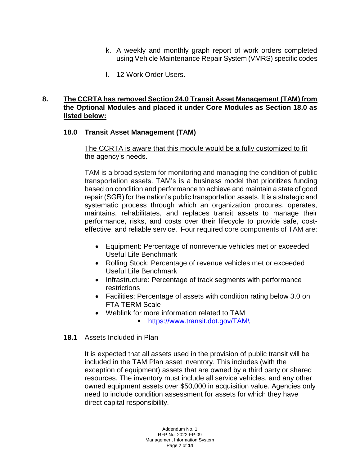- k. A weekly and monthly graph report of work orders completed using Vehicle Maintenance Repair System (VMRS) specific codes
- l. 12 Work Order Users.

#### **8. The CCRTA has removed Section 24.0 Transit Asset Management (TAM) from the Optional Modules and placed it under Core Modules as Section 18.0 as listed below:**

## **18.0 Transit Asset Management (TAM)**

#### The CCRTA is aware that this module would be a fully customized to fit the agency's needs.

TAM is a broad system for monitoring and managing the condition of public transportation assets. TAM's is a business model that prioritizes funding based on condition and performance to achieve and maintain a state of good repair (SGR) for the nation's public transportation assets. It is a strategic and systematic process through which an organization procures, operates, maintains, rehabilitates, and replaces transit assets to manage their performance, risks, and costs over their lifecycle to provide safe, costeffective, and reliable service. Four required core components of TAM are:

- Equipment: Percentage of nonrevenue vehicles met or exceeded Useful Life Benchmark
- Rolling Stock: Percentage of revenue vehicles met or exceeded Useful Life Benchmark
- Infrastructure: Percentage of track segments with performance restrictions
- Facilities: Percentage of assets with condition rating below 3.0 on FTA TERM Scale
- Weblink for more information related to TAM
	- [https://www.transit.dot.gov/TAM\](https://www.transit.dot.gov/TAM/)

#### **18.1** Assets Included in Plan

It is expected that all assets used in the provision of public transit will be included in the TAM Plan asset inventory. This includes (with the exception of equipment) assets that are owned by a third party or shared resources. The inventory must include all service vehicles, and any other owned equipment assets over \$50,000 in acquisition value. Agencies only need to include condition assessment for assets for which they have direct capital responsibility.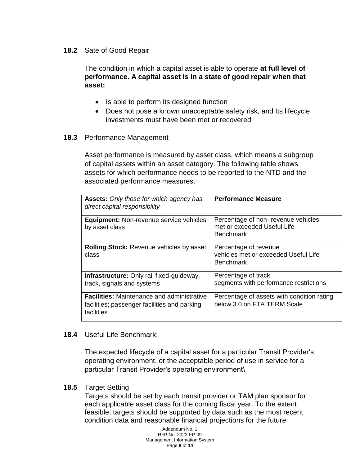#### **18.2** Sate of Good Repair

The condition in which a capital asset is able to operate **at full level of performance. A capital asset is in a state of good repair when that asset:**

- Is able to perform its designed function
- Does not pose a known unacceptable safety risk, and Its lifecycle investments must have been met or recovered

#### **18.3** Performance Management

Asset performance is measured by asset class, which means a subgroup of capital assets within an asset category. The following table shows assets for which performance needs to be reported to the NTD and the associated performance measures.

| <b>Assets:</b> Only those for which agency has<br>direct capital responsibility                                 | <b>Performance Measure</b>                                                            |
|-----------------------------------------------------------------------------------------------------------------|---------------------------------------------------------------------------------------|
| <b>Equipment:</b> Non-revenue service vehicles<br>by asset class                                                | Percentage of non-revenue vehicles<br>met or exceeded Useful Life<br><b>Benchmark</b> |
| <b>Rolling Stock: Revenue vehicles by asset</b><br>class                                                        | Percentage of revenue<br>vehicles met or exceeded Useful Life<br><b>Benchmark</b>     |
| <b>Infrastructure:</b> Only rail fixed-guideway,<br>track, signals and systems                                  | Percentage of track<br>segments with performance restrictions                         |
| <b>Facilities:</b> Maintenance and administrative<br>facilities; passenger facilities and parking<br>facilities | Percentage of assets with condition rating<br>below 3.0 on FTA TERM Scale             |

#### **18.4** Useful Life Benchmark:

The expected lifecycle of a capital asset for a particular Transit Provider's operating environment, or the acceptable period of use in service for a particular Transit Provider's operating environment\

#### **18.5** Target Setting

Targets should be set by each transit provider or TAM plan sponsor for each applicable asset class for the coming fiscal year. To the extent feasible, targets should be supported by data such as the most recent condition data and reasonable financial projections for the future.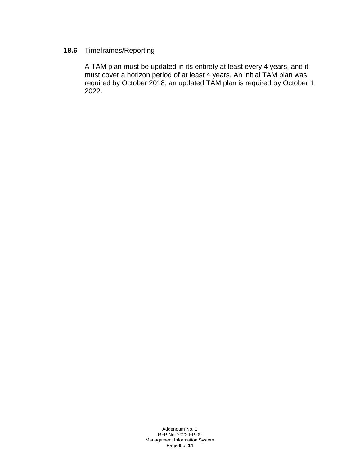# **18.6** Timeframes/Reporting

A TAM plan must be updated in its entirety at least every 4 years, and it must cover a horizon period of at least 4 years. An initial TAM plan was required by October 2018; an updated TAM plan is required by October 1, 2022.

> Addendum No. 1 RFP No. 2022-FP-09 Management Information System Page **9** of **14**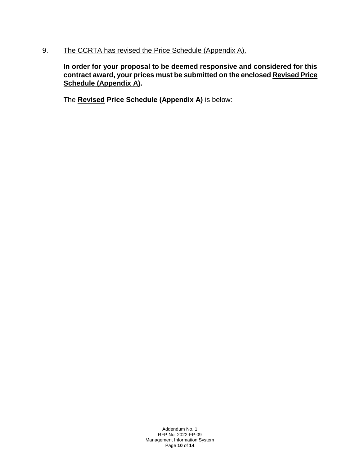## 9. The CCRTA has revised the Price Schedule (Appendix A).

**In order for your proposal to be deemed responsive and considered for this contract award, your prices must be submitted on the enclosed Revised Price Schedule (Appendix A).**

The **Revised Price Schedule (Appendix A)** is below:

Addendum No. 1 RFP No. 2022-FP-09 Management Information System Page **10** of **14**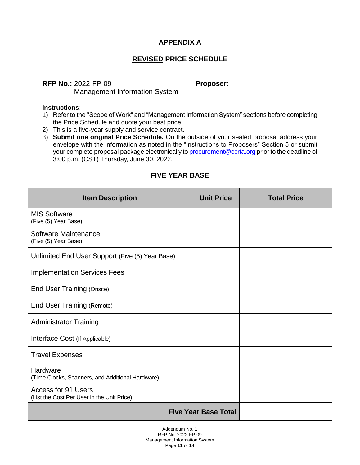# **APPENDIX A**

# **REVISED PRICE SCHEDULE**

**RFP No.:** 2022-FP-09 **Proposer**: \_\_\_\_\_\_\_\_\_\_\_\_\_\_\_\_\_\_\_\_\_\_

Management Information System

#### **Instructions**:

- 1) Refer to the "Scope of Work" and "Management Information System" sections before completing the Price Schedule and quote your best price.
- 2) This is a five-year supply and service contract.
- 3) **Submit one original Price Schedule.** On the outside of your sealed proposal address your envelope with the information as noted in the "Instructions to Proposers" Section 5 or submit your complete proposal package electronically to [procurement@ccrta.org](mailto:procurement@ccrta.org) prior to the deadline of 3:00 p.m. (CST) Thursday, June 30, 2022.

| <b>Item Description</b>                                                  | <b>Unit Price</b> | <b>Total Price</b> |  |
|--------------------------------------------------------------------------|-------------------|--------------------|--|
| <b>MIS Software</b><br>(Five (5) Year Base)                              |                   |                    |  |
| Software Maintenance<br>(Five (5) Year Base)                             |                   |                    |  |
| Unlimited End User Support (Five (5) Year Base)                          |                   |                    |  |
| <b>Implementation Services Fees</b>                                      |                   |                    |  |
| End User Training (Onsite)                                               |                   |                    |  |
| <b>End User Training (Remote)</b>                                        |                   |                    |  |
| <b>Administrator Training</b>                                            |                   |                    |  |
| Interface Cost (If Applicable)                                           |                   |                    |  |
| <b>Travel Expenses</b>                                                   |                   |                    |  |
| Hardware<br>(Time Clocks, Scanners, and Additional Hardware)             |                   |                    |  |
| <b>Access for 91 Users</b><br>(List the Cost Per User in the Unit Price) |                   |                    |  |
| <b>Five Year Base Total</b>                                              |                   |                    |  |

# **FIVE YEAR BASE**

Addendum No. 1 RFP No. 2022-FP-09 Management Information System Page **11** of **14**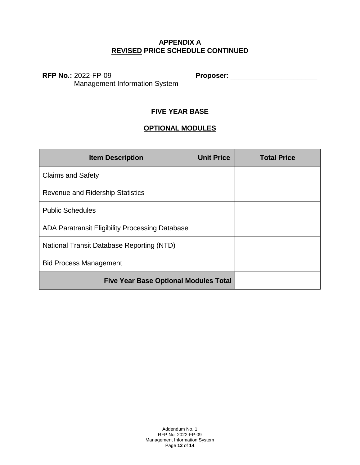## **APPENDIX A REVISED PRICE SCHEDULE CONTINUED**

Management Information System

**RFP No.:** 2022-FP-09 **Proposer**: \_\_\_\_\_\_\_\_\_\_\_\_\_\_\_\_\_\_\_\_\_\_

# **FIVE YEAR BASE**

# **OPTIONAL MODULES**

| <b>Item Description</b>                         | <b>Unit Price</b> | <b>Total Price</b> |
|-------------------------------------------------|-------------------|--------------------|
| <b>Claims and Safety</b>                        |                   |                    |
| <b>Revenue and Ridership Statistics</b>         |                   |                    |
| <b>Public Schedules</b>                         |                   |                    |
| ADA Paratransit Eligibility Processing Database |                   |                    |
| National Transit Database Reporting (NTD)       |                   |                    |
| <b>Bid Process Management</b>                   |                   |                    |
| <b>Five Year Base Optional Modules Total</b>    |                   |                    |

Addendum No. 1 RFP No. 2022-FP-09 Management Information System Page **12** of **14**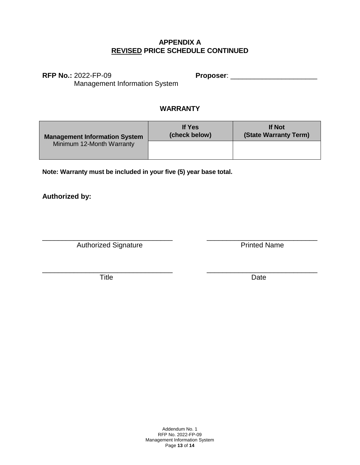#### **APPENDIX A REVISED PRICE SCHEDULE CONTINUED**

**RFP No.:** 2022-FP-09 **Proposer**: \_\_\_\_\_\_\_\_\_\_\_\_\_\_\_\_\_\_\_\_\_\_

Management Information System

# **WARRANTY**

| <b>Management Information System</b><br>Minimum 12-Month Warranty | <b>If Yes</b><br>(check below) | <b>If Not</b><br>(State Warranty Term) |
|-------------------------------------------------------------------|--------------------------------|----------------------------------------|
|                                                                   |                                |                                        |

\_\_\_\_\_\_\_\_\_\_\_\_\_\_\_\_\_\_\_\_\_\_\_\_\_\_\_\_\_\_\_\_\_ \_\_\_\_\_\_\_\_\_\_\_\_\_\_\_\_\_\_\_\_\_\_\_\_\_\_\_\_

**Note: Warranty must be included in your five (5) year base total.**

**Authorized by:**

\_\_\_\_\_\_\_\_\_\_\_\_\_\_\_\_\_\_\_\_\_\_\_\_\_\_\_\_\_\_\_\_\_ \_\_\_\_\_\_\_\_\_\_\_\_\_\_\_\_\_\_\_\_\_\_\_\_\_\_\_\_ Authorized Signature **Printed Name** 

Title **Date** 

Addendum No. 1 RFP No. 2022-FP-09 Management Information System Page **13** of **14**